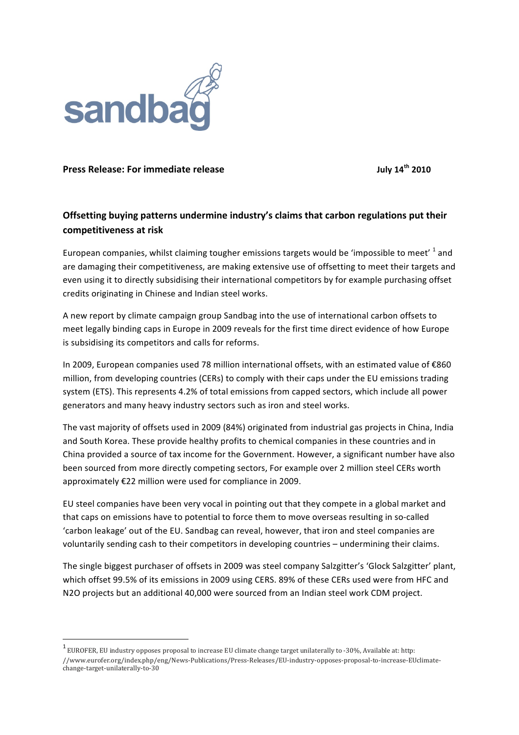

## **Press Release: For immediate release <b>July 14<sup>th</sup>** 2010

!!!!!!!!!!!!!!!!!!!!!!!!!!!!!!!!!!!!!!!!!!!!!!!!!!!!!!!!!!!!

## **Offsetting buying patterns undermine industry's claims that carbon regulations put their competitiveness at risk**

European companies, whilst claiming tougher emissions targets would be 'impossible to meet'  $1$  and are damaging their competitiveness, are making extensive use of offsetting to meet their targets and even using it to directly subsidising their international competitors by for example purchasing offset credits originating in Chinese and Indian steel works.

A new report by climate campaign group Sandbag into the use of international carbon offsets to meet legally binding caps in Europe in 2009 reveals for the first time direct evidence of how Europe is subsidising its competitors and calls for reforms.

In 2009, European companies used 78 million international offsets, with an estimated value of €860 million, from developing countries (CERs) to comply with their caps under the EU emissions trading system (ETS). This represents 4.2% of total emissions from capped sectors, which include all power generators and many heavy industry sectors such as iron and steel works.

The vast majority of offsets used in 2009 (84%) originated from industrial gas projects in China, India and South Korea. These provide healthy profits to chemical companies in these countries and in China provided a source of tax income for the Government. However, a significant number have also been sourced from more directly competing sectors, For example over 2 million steel CERs worth approximately €22 million were used for compliance in 2009.

EU steel companies have been very vocal in pointing out that they compete in a global market and that caps on emissions have to potential to force them to move overseas resulting in so-called 'carbon leakage' out of the EU. Sandbag can reveal, however, that iron and steel companies are voluntarily sending cash to their competitors in developing countries – undermining their claims.

The single biggest purchaser of offsets in 2009 was steel company Salzgitter's 'Glock Salzgitter' plant, which offset 99.5% of its emissions in 2009 using CERS. 89% of these CERs used were from HFC and N2O projects but an additional 40,000 were sourced from an Indian steel work CDM project.

 $^1$  EUROFER, EU industry opposes proposal to increase EU climate change target unilaterally to -30%, Available at: http: //www.eurofer.org/index.php/eng/News-Publications/Press-Releases/EU-industry-opposes-proposal-to-increase-EUclimatechange-target-unilaterally-to-30